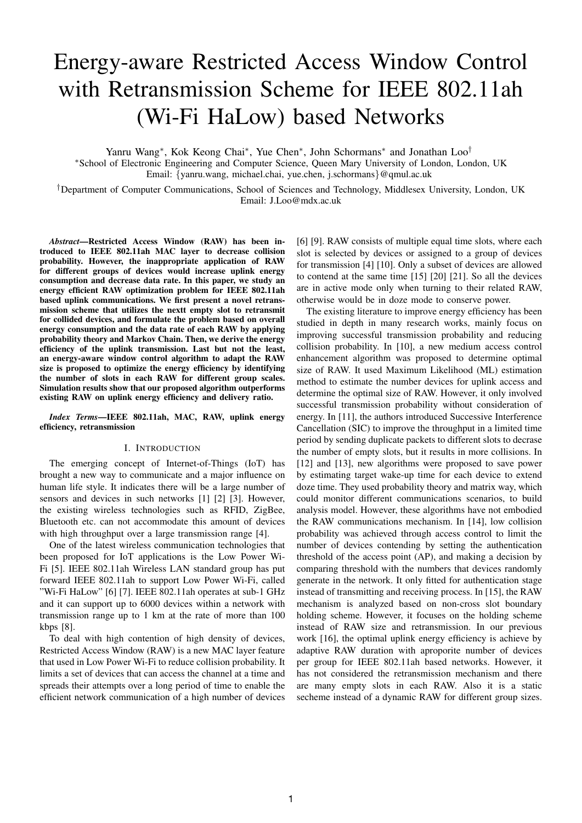# Energy-aware Restricted Access Window Control with Retransmission Scheme for IEEE 802.11ah (Wi-Fi HaLow) based Networks

Yanru Wang<sup>∗</sup> , Kok Keong Chai<sup>∗</sup> , Yue Chen<sup>∗</sup> , John Schormans<sup>∗</sup> and Jonathan Loo†

<sup>∗</sup>School of Electronic Engineering and Computer Science, Queen Mary University of London, London, UK Email: {yanru.wang, michael.chai, yue.chen, j.schormans}@qmul.ac.uk

†Department of Computer Communications, School of Sciences and Technology, Middlesex University, London, UK Email: J.Loo@mdx.ac.uk

*Abstract*—Restricted Access Window (RAW) has been introduced to IEEE 802.11ah MAC layer to decrease collision probability. However, the inappropriate application of RAW for different groups of devices would increase uplink energy consumption and decrease data rate. In this paper, we study an energy efficient RAW optimization problem for IEEE 802.11ah based uplink communications. We first present a novel retransmission scheme that utilizes the nextt empty slot to retransmit for collided devices, and formulate the problem based on overall energy consumption and the data rate of each RAW by applying probability theory and Markov Chain. Then, we derive the energy efficiency of the uplink transmission. Last but not the least, an energy-aware window control algorithm to adapt the RAW size is proposed to optimize the energy efficiency by identifying the number of slots in each RAW for different group scales. Simulation results show that our proposed algorithm outperforms existing RAW on uplink energy efficiency and delivery ratio.

# *Index Terms*—IEEE 802.11ah, MAC, RAW, uplink energy efficiency, retransmission

# I. INTRODUCTION

The emerging concept of Internet-of-Things (IoT) has brought a new way to communicate and a major influence on human life style. It indicates there will be a large number of sensors and devices in such networks [1] [2] [3]. However, the existing wireless technologies such as RFID, ZigBee, Bluetooth etc. can not accommodate this amount of devices with high throughput over a large transmission range [4].

One of the latest wireless communication technologies that been proposed for IoT applications is the Low Power Wi-Fi [5]. IEEE 802.11ah Wireless LAN standard group has put forward IEEE 802.11ah to support Low Power Wi-Fi, called "Wi-Fi HaLow" [6] [7]. IEEE 802.11ah operates at sub-1 GHz and it can support up to 6000 devices within a network with transmission range up to 1 km at the rate of more than 100 kbps [8].

To deal with high contention of high density of devices, Restricted Access Window (RAW) is a new MAC layer feature that used in Low Power Wi-Fi to reduce collision probability. It limits a set of devices that can access the channel at a time and spreads their attempts over a long period of time to enable the efficient network communication of a high number of devices

[6] [9]. RAW consists of multiple equal time slots, where each slot is selected by devices or assigned to a group of devices for transmission [4] [10]. Only a subset of devices are allowed to contend at the same time [15] [20] [21]. So all the devices are in active mode only when turning to their related RAW, otherwise would be in doze mode to conserve power.

The existing literature to improve energy efficiency has been studied in depth in many research works, mainly focus on improving successful transmission probability and reducing collision probability. In [10], a new medium access control enhancement algorithm was proposed to determine optimal size of RAW. It used Maximum Likelihood (ML) estimation method to estimate the number devices for uplink access and determine the optimal size of RAW. However, it only involved successful transmission probability without consideration of energy. In [11], the authors introduced Successive Interference Cancellation (SIC) to improve the throughput in a limited time period by sending duplicate packets to different slots to decrase the number of empty slots, but it results in more collisions. In [12] and [13], new algorithms were proposed to save power by estimating target wake-up time for each device to extend doze time. They used probability theory and matrix way, which could monitor different communications scenarios, to build analysis model. However, these algorithms have not embodied the RAW communications mechanism. In [14], low collision probability was achieved through access control to limit the number of devices contending by setting the authentication threshold of the access point (AP), and making a decision by comparing threshold with the numbers that devices randomly generate in the network. It only fitted for authentication stage instead of transmitting and receiving process. In [15], the RAW mechanism is analyzed based on non-cross slot boundary holding scheme. However, it focuses on the holding scheme instead of RAW size and retransmission. In our previous work [16], the optimal uplink energy efficiency is achieve by adaptive RAW duration with aproporite number of devices per group for IEEE 802.11ah based networks. However, it has not considered the retransmission mechanism and there are many empty slots in each RAW. Also it is a static secheme instead of a dynamic RAW for different group sizes.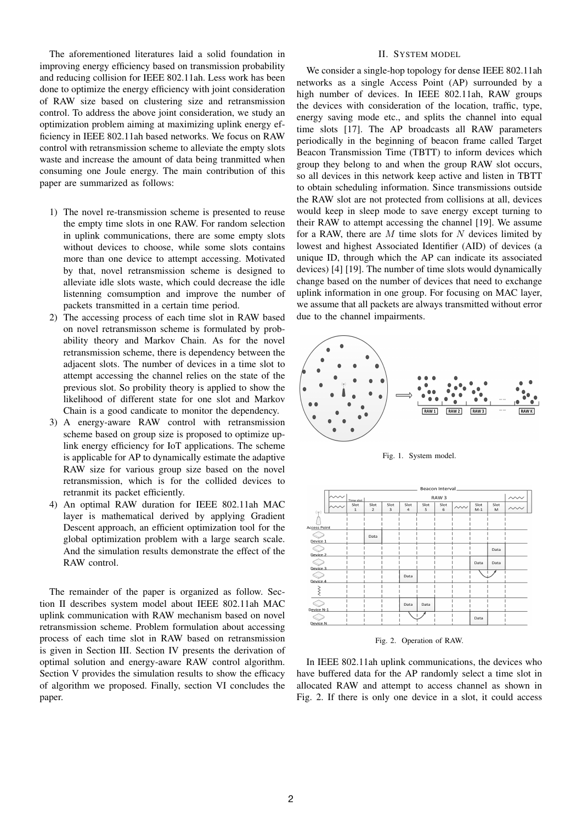The aforementioned literatures laid a solid foundation in improving energy efficiency based on transmission probability and reducing collision for IEEE 802.11ah. Less work has been done to optimize the energy efficiency with joint consideration of RAW size based on clustering size and retransmission control. To address the above joint consideration, we study an optimization problem aiming at maximizing uplink energy efficiency in IEEE 802.11ah based networks. We focus on RAW control with retransmission scheme to alleviate the empty slots waste and increase the amount of data being tranmitted when consuming one Joule energy. The main contribution of this paper are summarized as follows:

- 1) The novel re-transmission scheme is presented to reuse the empty time slots in one RAW. For random selection in uplink communications, there are some empty slots without devices to choose, while some slots contains more than one device to attempt accessing. Motivated by that, novel retransmission scheme is designed to alleviate idle slots waste, which could decrease the idle listenning comsumption and improve the number of packets transmitted in a certain time period.
- 2) The accessing process of each time slot in RAW based on novel retransmisson scheme is formulated by probability theory and Markov Chain. As for the novel retransmission scheme, there is dependency between the adjacent slots. The number of devices in a time slot to attempt accessing the channel relies on the state of the previous slot. So probility theory is applied to show the likelihood of different state for one slot and Markov Chain is a good candicate to monitor the dependency.
- 3) A energy-aware RAW control with retransmission scheme based on group size is proposed to optimize uplink energy efficiency for IoT applications. The scheme is applicable for AP to dynamically estimate the adaptive RAW size for various group size based on the novel retransmission, which is for the collided devices to retranmit its packet efficiently.
- 4) An optimal RAW duration for IEEE 802.11ah MAC layer is mathematical derived by applying Gradient Descent approach, an efficient optimization tool for the global optimization problem with a large search scale. And the simulation results demonstrate the effect of the RAW control.

The remainder of the paper is organized as follow. Section II describes system model about IEEE 802.11ah MAC uplink communication with RAW mechanism based on novel retransmission scheme. Problem formulation about accessing process of each time slot in RAW based on retransmission is given in Section III. Section IV presents the derivation of optimal solution and energy-aware RAW control algorithm. Section V provides the simulation results to show the efficacy of algorithm we proposed. Finally, section VI concludes the paper.

## II. SYSTEM MODEL

We consider a single-hop topology for dense IEEE 802.11ah networks as a single Access Point (AP) surrounded by a high number of devices. In IEEE 802.11ah, RAW groups the devices with consideration of the location, traffic, type, energy saving mode etc., and splits the channel into equal time slots [17]. The AP broadcasts all RAW parameters periodically in the beginning of beacon frame called Target Beacon Transmission Time (TBTT) to inform devices which group they belong to and when the group RAW slot occurs, so all devices in this network keep active and listen in TBTT to obtain scheduling information. Since transmissions outside the RAW slot are not protected from collisions at all, devices would keep in sleep mode to save energy except turning to their RAW to attempt accessing the channel [19]. We assume for a RAW, there are  $M$  time slots for  $N$  devices limited by lowest and highest Associated Identifier (AID) of devices (a unique ID, through which the AP can indicate its associated devices) [4] [19]. The number of time slots would dynamically change based on the number of devices that need to exchange uplink information in one group. For focusing on MAC layer, we assume that all packets are always transmitted without error due to the channel impairments.



Fig. 1. System model.



Fig. 2. Operation of RAW.

In IEEE 802.11ah uplink communications, the devices who have buffered data for the AP randomly select a time slot in allocated RAW and attempt to access channel as shown in Fig. 2. If there is only one device in a slot, it could access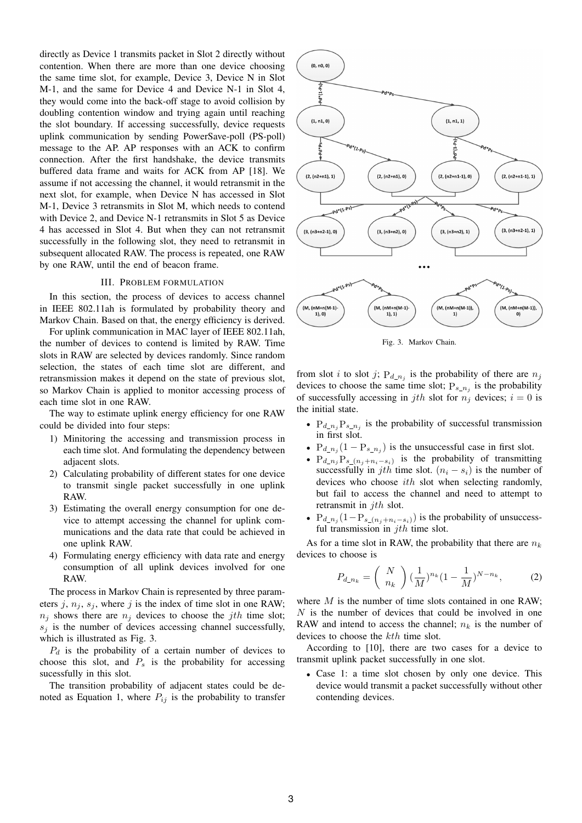directly as Device 1 transmits packet in Slot 2 directly without contention. When there are more than one device choosing the same time slot, for example, Device 3, Device N in Slot M-1, and the same for Device 4 and Device N-1 in Slot 4, they would come into the back-off stage to avoid collision by doubling contention window and trying again until reaching the slot boundary. If accessing successfully, device requests uplink communication by sending PowerSave-poll (PS-poll) message to the AP. AP responses with an ACK to confirm connection. After the first handshake, the device transmits buffered data frame and waits for ACK from AP [18]. We assume if not accessing the channel, it would retransmit in the next slot, for example, when Device N has accessed in Slot M-1, Device 3 retransmits in Slot M, which needs to contend with Device 2, and Device N-1 retransmits in Slot 5 as Device 4 has accessed in Slot 4. But when they can not retransmit successfully in the following slot, they need to retransmit in subsequent allocated RAW. The process is repeated, one RAW by one RAW, until the end of beacon frame.

#### III. PROBLEM FORMULATION

In this section, the process of devices to access channel in IEEE 802.11ah is formulated by probability theory and Markov Chain. Based on that, the energy efficiency is derived.

For uplink communication in MAC layer of IEEE 802.11ah, the number of devices to contend is limited by RAW. Time slots in RAW are selected by devices randomly. Since random selection, the states of each time slot are different, and retransmission makes it depend on the state of previous slot, so Markov Chain is applied to monitor accessing process of each time slot in one RAW.

The way to estimate uplink energy efficiency for one RAW could be divided into four steps:

- 1) Minitoring the accessing and transmission process in each time slot. And formulating the dependency between adjacent slots.
- 2) Calculating probability of different states for one device to transmit single packet successfully in one uplink RAW.
- 3) Estimating the overall energy consumption for one device to attempt accessing the channel for uplink communications and the data rate that could be achieved in one uplink RAW.
- 4) Formulating energy efficiency with data rate and energy consumption of all uplink devices involved for one RAW.

The process in Markov Chain is represented by three parameters j,  $n_j$ ,  $s_j$ , where j is the index of time slot in one RAW;  $n_j$  shows there are  $n_j$  devices to choose the jth time slot;  $s_i$  is the number of devices accessing channel successfully, which is illustrated as Fig. 3.

 $P_d$  is the probability of a certain number of devices to choose this slot, and  $P_s$  is the probability for accessing sucessfully in this slot.

The transition probability of adjacent states could be denoted as Equation 1, where  $P_{ij}$  is the probability to transfer



Fig. 3. Markov Chain.

from slot i to slot j;  $P_{d_n}$  is the probability of there are  $n_j$ devices to choose the same time slot;  $P_{s_n}$  is the probability of successfully accessing in jth slot for  $n_j$  devices;  $i = 0$  is the initial state.

- $P_{d_n}P_{s_n}$  is the probability of successful transmission in first slot.
- $P_{d_n} (1 P_{s_n} )$  is the unsuccessful case in first slot.
- $P_{d_n}P_{s_n}$   $\left(P_{d_n}P_{s_n}(n_j+n_i-s_i)\right)$  is the probability of transmitting successfully in jth time slot.  $(n_i - s_i)$  is the number of devices who choose ith slot when selecting randomly, but fail to access the channel and need to attempt to retransmit in jth slot.
- $P_{d_n} (1 P_{s_n} (n_j + n_i s_i))$  is the probability of unsuccessful transmission in  $jth$  time slot.

As for a time slot in RAW, the probability that there are  $n_k$ devices to choose is

$$
P_{d_n} = \binom{N}{n_k} \left(\frac{1}{M}\right)^{n_k} \left(1 - \frac{1}{M}\right)^{N - n_k},\tag{2}
$$

where  $M$  is the number of time slots contained in one RAW;  $N$  is the number of devices that could be involved in one RAW and intend to access the channel;  $n_k$  is the number of devices to choose the kth time slot.

According to [10], there are two cases for a device to transmit uplink packet successfully in one slot.

• Case 1: a time slot chosen by only one device. This device would transmit a packet successfully without other contending devices.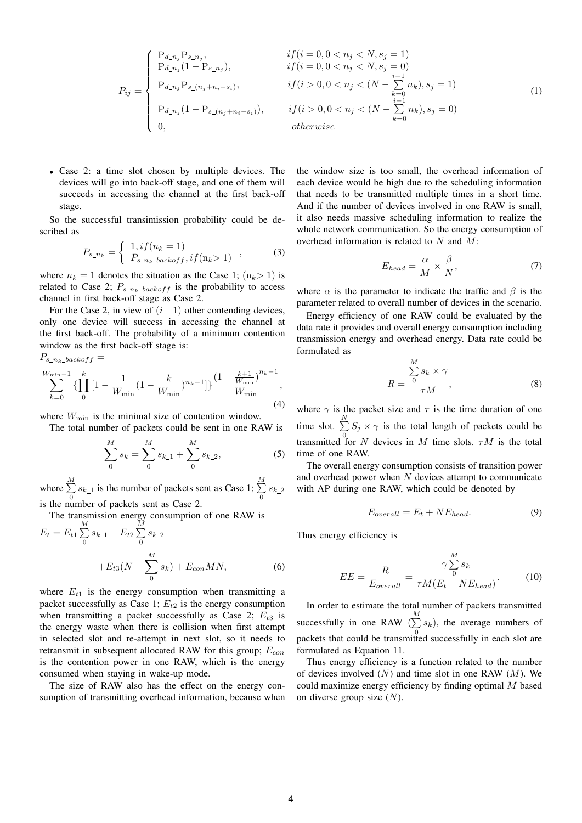$$
P_{ij} = \begin{cases} P_{d\_n_j} P_{s\_n_j}, & if (i = 0, 0 < n_j < N, s_j = 1) \\ P_{d\_n_j} (1 - P_{s\_n_j}), & if (i = 0, 0 < n_j < N, s_j = 0) \\ P_{d\_n_j} P_{s\_ (n_j + n_i - s_i)}, & if (i > 0, 0 < n_j < (N - \sum_{k=0}^{i-1} n_k), s_j = 1) \\ P_{d\_n_j} (1 - P_{s\_ (n_j + n_i - s_i)}), & if (i > 0, 0 < n_j < (N - \sum_{k=0}^{i-1} n_k), s_j = 0) \\ 0, & otherwise \end{cases}
$$
(1)

• Case 2: a time slot chosen by multiple devices. The devices will go into back-off stage, and one of them will succeeds in accessing the channel at the first back-off stage.

So the successful transimission probability could be described as

$$
P_{s_n} = \begin{cases} 1, if(n_k = 1) \\ P_{s_n} = \text{backoff}, if(n_k > 1) \end{cases} (3)
$$

where  $n_k = 1$  denotes the situation as the Case 1;  $(n_k > 1)$  is related to Case 2;  $P_{s_n k_b a k \omega f f}$  is the probability to access channel in first back-off stage as Case 2.

For the Case 2, in view of  $(i-1)$  other contending devices, only one device will success in accessing the channel at the first back-off. The probability of a minimum contention window as the first back-off stage is:  $P_{s_n_k\_backoff} =$ 

$$
\sum_{k=0}^{W_{\min}-1} \left\{ \prod_{0}^{k} \left[ 1 - \frac{1}{W_{\min}} (1 - \frac{k}{W_{\min}})^{n_k - 1} \right] \right\} \frac{\left( 1 - \frac{k+1}{W_{\min}} \right)^{n_k - 1}}{W_{\min}},\tag{4}
$$

where  $W_{\text{min}}$  is the minimal size of contention window.

The total number of packets could be sent in one RAW is

$$
\sum_{0}^{M} s_{k} = \sum_{0}^{M} s_{k-1} + \sum_{0}^{M} s_{k-2},
$$
 (5)

where  $\sum^M$  $\sum_{n=0}^{M} s_{k-1}$  is the number of packets sent as Case 1;  $\sum_{n=0}^{M} s_{k-1}$  $\sum_{i=0}^{\infty} s_{k-2}$ is the number of packets sent as Case 2.

The transmission energy consumption of one RAW is

$$
E_t = E_{t1} \sum_{0}^{M} s_{k-1} + E_{t2} \sum_{0}^{M} s_{k-2} + E_{t3}(N - \sum_{0}^{M} s_k) + E_{con}MN,
$$
\n(6)

where  $E_{t1}$  is the energy consumption when transmitting a packet successfully as Case 1;  $E_{t2}$  is the energy consumption when transmitting a packet successfully as Case 2;  $E_{t3}$  is the energy waste when there is collision when first attempt in selected slot and re-attempt in next slot, so it needs to retransmit in subsequent allocated RAW for this group;  $E_{con}$ is the contention power in one RAW, which is the energy consumed when staying in wake-up mode.

The size of RAW also has the effect on the energy consumption of transmitting overhead information, because when

the window size is too small, the overhead information of each device would be high due to the scheduling information that needs to be transmitted multiple times in a short time. And if the number of devices involved in one RAW is small, it also needs massive scheduling information to realize the whole network communication. So the energy consumption of overhead information is related to  $N$  and  $M$ :

$$
E_{head} = \frac{\alpha}{M} \times \frac{\beta}{N},\tag{7}
$$

where  $\alpha$  is the parameter to indicate the traffic and  $\beta$  is the parameter related to overall number of devices in the scenario.

Energy efficiency of one RAW could be evaluated by the data rate it provides and overall energy consumption including transmission energy and overhead energy. Data rate could be formulated as

$$
R = \frac{\sum_{0}^{M} s_k \times \gamma}{\tau M},
$$
\n(8)

where  $\gamma$  is the packet size and  $\tau$  is the time duration of one time slot.  $\sum_{i=1}^{N}$  $\sum_{i=0}^{n} S_i \times \gamma$  is the total length of packets could be transmitted for N devices in M time slots.  $\tau M$  is the total time of one RAW.

The overall energy consumption consists of transition power and overhead power when  $N$  devices attempt to communicate with AP during one RAW, which could be denoted by

$$
E_{overall} = E_t + NE_{head}.
$$
\n(9)

Thus energy efficiency is

$$
EE = \frac{R}{E_{overall}} = \frac{\gamma \sum_{0}^{M} s_k}{\tau M (E_t + NE_{head})}.
$$
 (10)

In order to estimate the total number of packets transmitted successfully in one RAW  $(\sum_{k=1}^{M} s_k)$ , the average numbers of 0 packets that could be transmitted successfully in each slot are formulated as Equation 11.

Thus energy efficiency is a function related to the number of devices involved  $(N)$  and time slot in one RAW  $(M)$ . We could maximize energy efficiency by finding optimal M based on diverse group size  $(N)$ .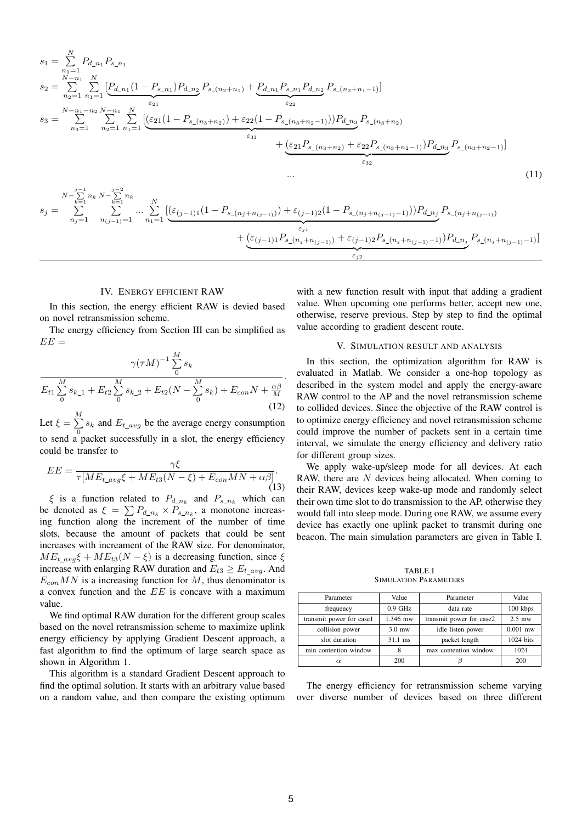$$
s_{1} = \sum_{n_{1}=1}^{N} P_{d_{-n_{1}}} P_{s_{-n_{1}}}
$$
\n
$$
s_{2} = \sum_{n_{2}=1}^{N-n_{1}} \sum_{n_{1}=1}^{N} \underbrace{\left[ P_{d_{-n_{1}}}(1 - P_{s_{-n_{1}}}) P_{d_{-n_{2}}} P_{s_{-}(n_{2}+n_{1})} + P_{d_{-n_{1}}} P_{s_{-n_{1}}} P_{d_{-n_{2}}} P_{s_{-}(n_{2}+n_{1}-1)} \right] }_{\epsilon_{22}}
$$
\n
$$
s_{3} = \sum_{n_{3}=1}^{N-n_{1}-n_{2}} \sum_{n_{2}=1}^{N} \sum_{n_{1}=1}^{N} \underbrace{\left[ \underbrace{\left( \varepsilon_{21}(1 - P_{s_{-}(n_{3}+n_{2})}) + \varepsilon_{22}(1 - P_{s_{-}(n_{3}+n_{2}-1)}) \right) P_{d_{-n_{3}}} P_{s_{-}(n_{3}+n_{2})} + \left( \varepsilon_{21} P_{s_{-}(n_{3}+n_{2})} + \varepsilon_{22} P_{s_{-}(n_{3}+n_{2}-1)} \right) P_{d_{-n_{3}}} P_{s_{-}(n_{3}+n_{2}-1)} \right]_{\epsilon_{33}}
$$
\n
$$
s_{j} = \sum_{n_{j}=1}^{N-1} \sum_{n_{j}=1}^{N-1} \sum_{n_{(j-1)}=1}^{N-2} \dots \sum_{n_{1}=1}^{N} \underbrace{\left[ \underbrace{\left( \varepsilon_{(j-1)1}(1 - P_{s_{-}(n_{j}+n_{(j-1)})}) + \varepsilon_{(j-1)2}(1 - P_{s_{-}(n_{j}+n_{(j-1)}-1)}) \right) P_{d_{-n_{j}}} P_{s_{-}(n_{j}+n_{(j-1)})} - P_{d_{-n_{j}}} P_{s_{-}(n_{j}+n_{(j-1)}-1)} \right]}_{\epsilon_{j_{2}}}
$$
\n
$$
+ \underbrace{\left( \underbrace{\left( \varepsilon_{(j-1)1} P_{s_{-}(n_{j}+n_{(j-1)})} + \varepsilon_{(j-1)2} P_{s_{-}(n_{j}+n_{(j-1)}-1)} \right) P_{d_{-n_{j}}} P
$$

### IV. ENERGY EFFICIENT RAW

In this section, the energy efficient RAW is devied based on novel retransmission scheme.

The energy efficiency from Section III can be simplified as  $E E =$ 

$$
\frac{\gamma(\tau M)^{-1} \sum_{0}^{M} s_k}{E_{t1} \sum_{0}^{M} s_{k-1} + E_{t2} \sum_{0}^{M} s_{k-2} + E_{t2}(N - \sum_{0}^{M} s_k) + E_{con}N + \frac{\alpha \beta}{M}}.
$$
\n(12)

Let  $\xi = \sum^{M}$  $\sum_{i=0}$  s<sub>k</sub> and  $E_{t\_{avg}}$  be the average energy consumption to send a packet successfully in a slot, the energy efficiency could be transfer to

$$
EE = \frac{\gamma \xi}{\tau [ME_{t\_avg}\xi + ME_{t3}(N-\xi) + E_{con}MN + \alpha\beta]}.
$$
\n(13)

 $\xi$  is a function related to  $P_{d_n,k}$  and  $P_{s_n,k}$  which can be denoted as  $\xi = \sum P_{d_n} \times P_{s_n}$ , a monotone increasing function along the increment of the number of time slots, because the amount of packets that could be sent increases with increament of the RAW size. For denominator,  $ME_{t_a}$   $\&$   $\&$  +  $ME_{t3}(N - \xi)$  is a decreasing function, since  $\xi$ increase with enlarging RAW duration and  $E_{t3} \geq E_{t_0}$ . And  $E_{con}MN$  is a increasing function for M, thus denominator is a convex function and the EE is concave with a maximum value.

We find optimal RAW duration for the different group scales based on the novel retransmission scheme to maximize uplink energy efficiency by applying Gradient Descent approach, a fast algorithm to find the optimum of large search space as shown in Algorithm 1.

This algorithm is a standard Gradient Descent approach to find the optimal solution. It starts with an arbitrary value based on a random value, and then compare the existing optimum with a new function result with input that adding a gradient value. When upcoming one performs better, accept new one, otherwise, reserve previous. Step by step to find the optimal value according to gradient descent route.

### V. SIMULATION RESULT AND ANALYSIS

In this section, the optimization algorithm for RAW is evaluated in Matlab. We consider a one-hop topology as described in the system model and apply the energy-aware RAW control to the AP and the novel retransmission scheme to collided devices. Since the objective of the RAW control is to optimize energy efficiency and novel retransmission scheme could improve the number of packets sent in a certain time interval, we simulate the energy efficiency and delivery ratio for different group sizes.

We apply wake-up/sleep mode for all devices. At each RAW, there are  $N$  devices being allocated. When coming to their RAW, devices keep wake-up mode and randomly select their own time slot to do transmission to the AP, otherwise they would fall into sleep mode. During one RAW, we assume every device has exactly one uplink packet to transmit during one beacon. The main simulation parameters are given in Table I.

TABLE I SIMULATION PARAMETERS

| Parameter                | Value     | Parameter                | Value      |
|--------------------------|-----------|--------------------------|------------|
| frequency                | $0.9$ GHz | data rate                | 100 kbps   |
| transmit power for case1 | 1.346 mw  | transmit power for case2 | $2.5$ mw   |
| collision power          | $3.0$ mw  | idle listen power        | $0.001$ mw |
| slot duration            | $31.1$ ms | packet length            | 1024 bits  |
| min contention window    |           | max contention window    | 1024       |
|                          | 200       |                          | 200        |

The energy efficiency for retransmission scheme varying over diverse number of devices based on three different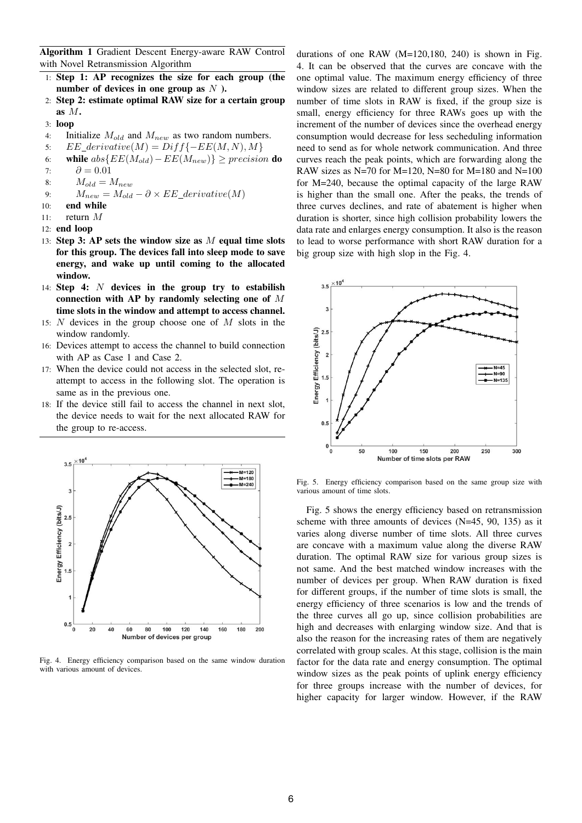Algorithm 1 Gradient Descent Energy-aware RAW Control with Novel Retransmission Algorithm

- 1: Step 1: AP recognizes the size for each group (the number of devices in one group as  $N$ ).
- 2: Step 2: estimate optimal RAW size for a certain group as M.
- 3: loop
- 4: Initialize  $M_{old}$  and  $M_{new}$  as two random numbers.
- 5:  $EE\_derivative(M) = Diff{-}EE(M, N), M$
- 6: while  $abs\{EE(M_{old})-EE(M_{new})\} \geq precision$  do
- 7:  $\partial = 0.01$
- 8:  $M_{old} = M_{new}$
- 9:  $M_{new} = M_{old} \partial \times EE\_derivative(M)$
- 10: end while
- 11: return M
- 12: end loop
- 13: Step 3: AP sets the window size as  $M$  equal time slots for this group. The devices fall into sleep mode to save energy, and wake up until coming to the allocated window.
- 14: Step 4:  $N$  devices in the group try to estabilish connection with AP by randomly selecting one of M time slots in the window and attempt to access channel.
- 15: N devices in the group choose one of M slots in the window randomly.
- 16: Devices attempt to access the channel to build connection with AP as Case 1 and Case 2.
- 17: When the device could not access in the selected slot, reattempt to access in the following slot. The operation is same as in the previous one.
- 18: If the device still fail to access the channel in next slot, the device needs to wait for the next allocated RAW for the group to re-access.



Fig. 4. Energy efficiency comparison based on the same window duration with various amount of devices.

durations of one RAW  $(M=120,180, 240)$  is shown in Fig. 4. It can be observed that the curves are concave with the one optimal value. The maximum energy efficiency of three window sizes are related to different group sizes. When the number of time slots in RAW is fixed, if the group size is small, energy efficiency for three RAWs goes up with the increment of the number of devices since the overhead energy consumption would decrease for less secheduling information need to send as for whole network communication. And three curves reach the peak points, which are forwarding along the RAW sizes as N=70 for M=120, N=80 for M=180 and N=100 for M=240, because the optimal capacity of the large RAW is higher than the small one. After the peaks, the trends of three curves declines, and rate of abatement is higher when duration is shorter, since high collision probability lowers the data rate and enlarges energy consumption. It also is the reason to lead to worse performance with short RAW duration for a big group size with high slop in the Fig. 4.



Fig. 5. Energy efficiency comparison based on the same group size with various amount of time slots.

Fig. 5 shows the energy efficiency based on retransmission scheme with three amounts of devices (N=45, 90, 135) as it varies along diverse number of time slots. All three curves are concave with a maximum value along the diverse RAW duration. The optimal RAW size for various group sizes is not same. And the best matched window increases with the number of devices per group. When RAW duration is fixed for different groups, if the number of time slots is small, the energy efficiency of three scenarios is low and the trends of the three curves all go up, since collision probabilities are high and decreases with enlarging window size. And that is also the reason for the increasing rates of them are negatively correlated with group scales. At this stage, collision is the main factor for the data rate and energy consumption. The optimal window sizes as the peak points of uplink energy efficiency for three groups increase with the number of devices, for higher capacity for larger window. However, if the RAW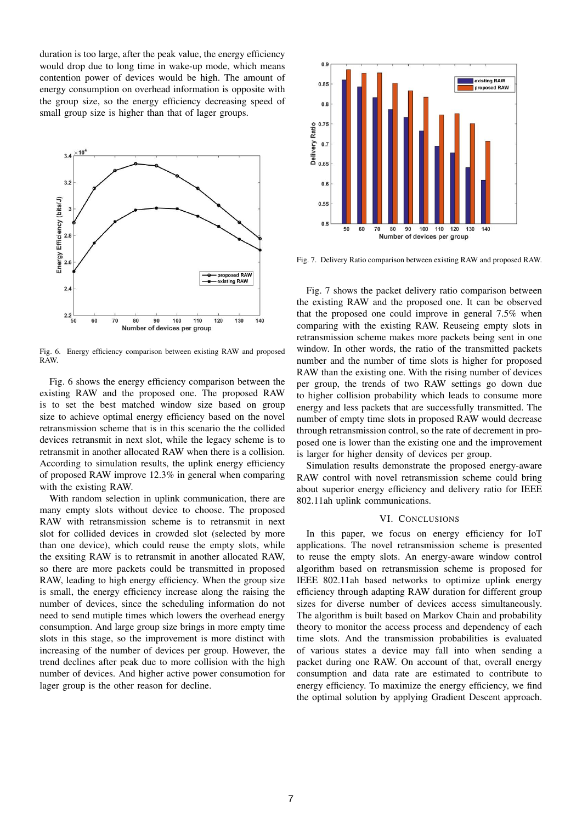duration is too large, after the peak value, the energy efficiency would drop due to long time in wake-up mode, which means contention power of devices would be high. The amount of energy consumption on overhead information is opposite with the group size, so the energy efficiency decreasing speed of small group size is higher than that of lager groups.



Fig. 6. Energy efficiency comparison between existing RAW and proposed RAW.

Fig. 6 shows the energy efficiency comparison between the existing RAW and the proposed one. The proposed RAW is to set the best matched window size based on group size to achieve optimal energy efficiency based on the novel retransmission scheme that is in this scenario the the collided devices retransmit in next slot, while the legacy scheme is to retransmit in another allocated RAW when there is a collision. According to simulation results, the uplink energy efficiency of proposed RAW improve 12.3% in general when comparing with the existing RAW.

With random selection in uplink communication, there are many empty slots without device to choose. The proposed RAW with retransmission scheme is to retransmit in next slot for collided devices in crowded slot (selected by more than one device), which could reuse the empty slots, while the exsiting RAW is to retransmit in another allocated RAW, so there are more packets could be transmitted in proposed RAW, leading to high energy efficiency. When the group size is small, the energy efficiency increase along the raising the number of devices, since the scheduling information do not need to send mutiple times which lowers the overhead energy consumption. And large group size brings in more empty time slots in this stage, so the improvement is more distinct with increasing of the number of devices per group. However, the trend declines after peak due to more collision with the high number of devices. And higher active power consumotion for lager group is the other reason for decline.



Fig. 7. Delivery Ratio comparison between existing RAW and proposed RAW.

Fig. 7 shows the packet delivery ratio comparison between the existing RAW and the proposed one. It can be observed that the proposed one could improve in general 7.5% when comparing with the existing RAW. Reuseing empty slots in retransmission scheme makes more packets being sent in one window. In other words, the ratio of the transmitted packets number and the number of time slots is higher for proposed RAW than the existing one. With the rising number of devices per group, the trends of two RAW settings go down due to higher collision probability which leads to consume more energy and less packets that are successfully transmitted. The number of empty time slots in proposed RAW would decrease through retransmission control, so the rate of decrement in proposed one is lower than the existing one and the improvement is larger for higher density of devices per group.

Simulation results demonstrate the proposed energy-aware RAW control with novel retransmission scheme could bring about superior energy efficiency and delivery ratio for IEEE 802.11ah uplink communications.

# VI. CONCLUSIONS

In this paper, we focus on energy efficiency for IoT applications. The novel retransmission scheme is presented to reuse the empty slots. An energy-aware window control algorithm based on retransmission scheme is proposed for IEEE 802.11ah based networks to optimize uplink energy efficiency through adapting RAW duration for different group sizes for diverse number of devices access simultaneously. The algorithm is built based on Markov Chain and probability theory to monitor the access process and dependency of each time slots. And the transmission probabilities is evaluated of various states a device may fall into when sending a packet during one RAW. On account of that, overall energy consumption and data rate are estimated to contribute to energy efficiency. To maximize the energy efficiency, we find the optimal solution by applying Gradient Descent approach.